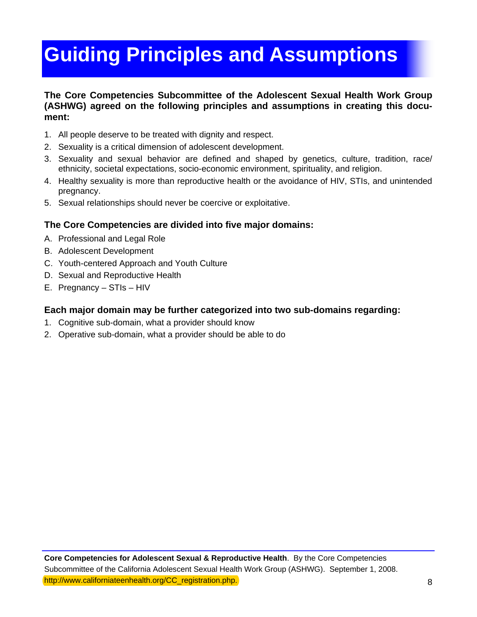# **Guiding Principles and Assumptions**

### **The Core Competencies Subcommittee of the Adolescent Sexual Health Work Group (ASHWG) agreed on the following principles and assumptions in creating this document:**

- 1. All people deserve to be treated with dignity and respect.
- 2. Sexuality is a critical dimension of adolescent development.
- 3. Sexuality and sexual behavior are defined and shaped by genetics, culture, tradition, race/ ethnicity, societal expectations, socio-economic environment, spirituality, and religion.
- 4. Healthy sexuality is more than reproductive health or the avoidance of HIV, STIs, and unintended pregnancy.
- 5. Sexual relationships should never be coercive or exploitative.

## **The Core Competencies are divided into five major domains:**

- A. Professional and Legal Role
- B. Adolescent Development
- C. Youth-centered Approach and Youth Culture
- D. Sexual and Reproductive Health
- E. Pregnancy STIs HIV

## **Each major domain may be further categorized into two sub-domains regarding:**

- 1. Cognitive sub-domain, what a provider should know
- 2. Operative sub-domain, what a provider should be able to do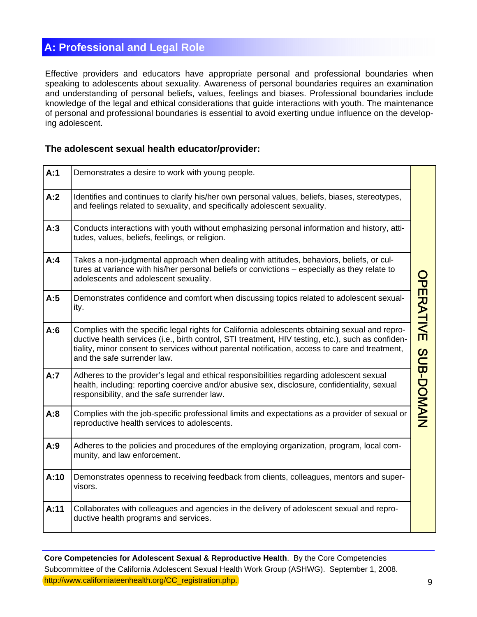# **A: Professional and Legal Role**

Effective providers and educators have appropriate personal and professional boundaries when speaking to adolescents about sexuality. Awareness of personal boundaries requires an examination and understanding of personal beliefs, values, feelings and biases. Professional boundaries include knowledge of the legal and ethical considerations that guide interactions with youth. The maintenance of personal and professional boundaries is essential to avoid exerting undue influence on the developing adolescent.

#### **The adolescent sexual health educator/provider:**

| A:1  | Demonstrates a desire to work with young people.                                                                                                                                                                                                                                                                                       |            |
|------|----------------------------------------------------------------------------------------------------------------------------------------------------------------------------------------------------------------------------------------------------------------------------------------------------------------------------------------|------------|
| A:2  | Identifies and continues to clarify his/her own personal values, beliefs, biases, stereotypes,<br>and feelings related to sexuality, and specifically adolescent sexuality.                                                                                                                                                            |            |
| A:3  | Conducts interactions with youth without emphasizing personal information and history, atti-<br>tudes, values, beliefs, feelings, or religion.                                                                                                                                                                                         |            |
| A:4  | Takes a non-judgmental approach when dealing with attitudes, behaviors, beliefs, or cul-<br>tures at variance with his/her personal beliefs or convictions - especially as they relate to<br>adolescents and adolescent sexuality.                                                                                                     |            |
| A:5  | Demonstrates confidence and comfort when discussing topics related to adolescent sexual-<br>ity.                                                                                                                                                                                                                                       | PERATIVE   |
| A:6  | Complies with the specific legal rights for California adolescents obtaining sexual and repro-<br>ductive health services (i.e., birth control, STI treatment, HIV testing, etc.), such as confiden-<br>tiality, minor consent to services without parental notification, access to care and treatment,<br>and the safe surrender law. |            |
| A:7  | Adheres to the provider's legal and ethical responsibilities regarding adolescent sexual<br>health, including: reporting coercive and/or abusive sex, disclosure, confidentiality, sexual<br>responsibility, and the safe surrender law.                                                                                               | SUB-DOMAIN |
| A:8  | Complies with the job-specific professional limits and expectations as a provider of sexual or<br>reproductive health services to adolescents.                                                                                                                                                                                         |            |
| A:9  | Adheres to the policies and procedures of the employing organization, program, local com-<br>munity, and law enforcement.                                                                                                                                                                                                              |            |
| A:10 | Demonstrates openness to receiving feedback from clients, colleagues, mentors and super-<br>visors.                                                                                                                                                                                                                                    |            |
| A:11 | Collaborates with colleagues and agencies in the delivery of adolescent sexual and repro-<br>ductive health programs and services.                                                                                                                                                                                                     |            |

 **Core Competencies for Adolescent Sexual & Reproductive Health**. By the Core Competencies Subcommittee of the California Adolescent Sexual Health Work Group (ASHWG). September 1, 2008. http://www.californiateenhealth.org/CC\_registration.php. 9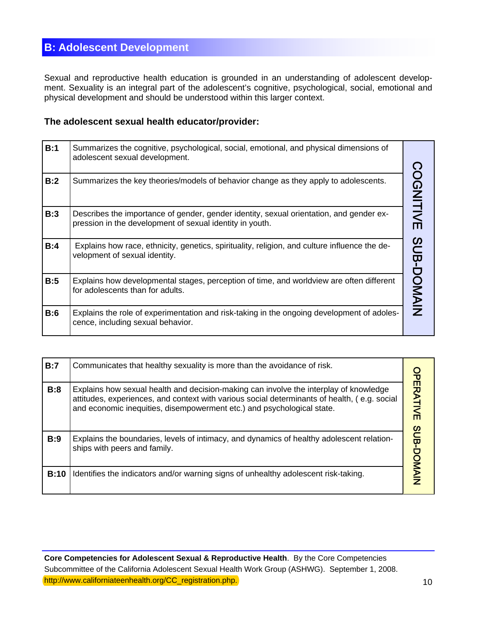## **B: Adolescent Development**

Sexual and reproductive health education is grounded in an understanding of adolescent development. Sexuality is an integral part of the adolescent's cognitive, psychological, social, emotional and physical development and should be understood within this larger context.

## **The adolescent sexual health educator/provider:**

| B:1 | Summarizes the cognitive, psychological, social, emotional, and physical dimensions of<br>adolescent sexual development.                            |            |
|-----|-----------------------------------------------------------------------------------------------------------------------------------------------------|------------|
| B:2 | Summarizes the key theories/models of behavior change as they apply to adolescents.                                                                 | COGNITIVE  |
| B:3 | Describes the importance of gender, gender identity, sexual orientation, and gender ex-<br>pression in the development of sexual identity in youth. |            |
| B:4 | Explains how race, ethnicity, genetics, spirituality, religion, and culture influence the de-<br>velopment of sexual identity.                      | SUB-DOMAIN |
| B:5 | Explains how developmental stages, perception of time, and worldview are often different<br>for adolescents than for adults.                        |            |
| B:6 | Explains the role of experimentation and risk-taking in the ongoing development of adoles-<br>cence, including sexual behavior.                     |            |

| B:7  | Communicates that healthy sexuality is more than the avoidance of risk.                                                                                                                                                                                         |                   |
|------|-----------------------------------------------------------------------------------------------------------------------------------------------------------------------------------------------------------------------------------------------------------------|-------------------|
| B:8  | Explains how sexual health and decision-making can involve the interplay of knowledge<br>attitudes, experiences, and context with various social determinants of health, (e.g. social<br>and economic inequities, disempowerment etc.) and psychological state. | <b>OPERATIVE</b>  |
| B:9  | Explains the boundaries, levels of intimacy, and dynamics of healthy adolescent relation-<br>ships with peers and family.                                                                                                                                       | <b>SUB-DOMAIN</b> |
| B:10 | Identifies the indicators and/or warning signs of unhealthy adolescent risk-taking.                                                                                                                                                                             |                   |

 **Core Competencies for Adolescent Sexual & Reproductive Health**. By the Core Competencies Subcommittee of the California Adolescent Sexual Health Work Group (ASHWG). September 1, 2008. http://www.californiateenhealth.org/CC\_registration.php. 10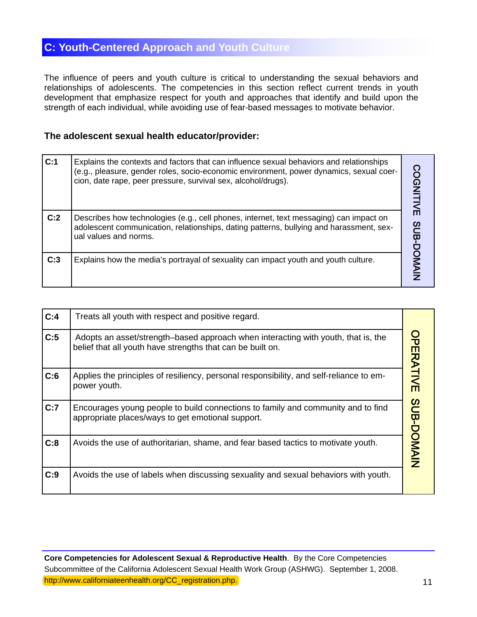# **C: Y outh-Centered Approach and Youth Culture**

The influence of peers and youth culture is critical to understanding the sexual behaviors and relationships of adolescents. The competencies in this section reflect current trends in youth development that emphasize respect for youth and approaches that identify and build upon the strength of each individual, while avoiding use of fear-based messages to motivate behavior.

#### **The adolescent sexual health educator/provider:**

| C:1 | Explains the contexts and factors that can influence sexual behaviors and relationships<br>(e.g., pleasure, gender roles, socio-economic environment, power dynamics, sexual coer-<br>cion, date rape, peer pressure, survival sex, alcohol/drugs). | <b>COGNITIVE</b>  |
|-----|-----------------------------------------------------------------------------------------------------------------------------------------------------------------------------------------------------------------------------------------------------|-------------------|
| C:2 | Describes how technologies (e.g., cell phones, internet, text messaging) can impact on<br>adolescent communication, relationships, dating patterns, bullying and harassment, sex-<br>ual values and norms.                                          | <b>SCB-DONAIN</b> |
| C:3 | Explains how the media's portrayal of sexuality can impact youth and youth culture.                                                                                                                                                                 |                   |

| C:4 | Treats all youth with respect and positive regard.                                                                                              |            |
|-----|-------------------------------------------------------------------------------------------------------------------------------------------------|------------|
| C:5 | Adopts an asset/strength-based approach when interacting with youth, that is, the<br>belief that all youth have strengths that can be built on. | OPERATIVE  |
| C:6 | Applies the principles of resiliency, personal responsibility, and self-reliance to em-<br>power youth.                                         |            |
| C:7 | Encourages young people to build connections to family and community and to find<br>appropriate places/ways to get emotional support.           | SUB-DOMAIN |
| C:8 | Avoids the use of authoritarian, shame, and fear based tactics to motivate youth.                                                               |            |
| C:9 | Avoids the use of labels when discussing sexuality and sexual behaviors with youth.                                                             |            |

 **Core Competencies for Adolescent Sexual & Reproductive Health**. By the Core Competencies Subcommittee of the California Adolescent Sexual Health Work Group (ASHWG). September 1, 2008. http://www.californiateenhealth.org/CC\_registration.php. 11 and 11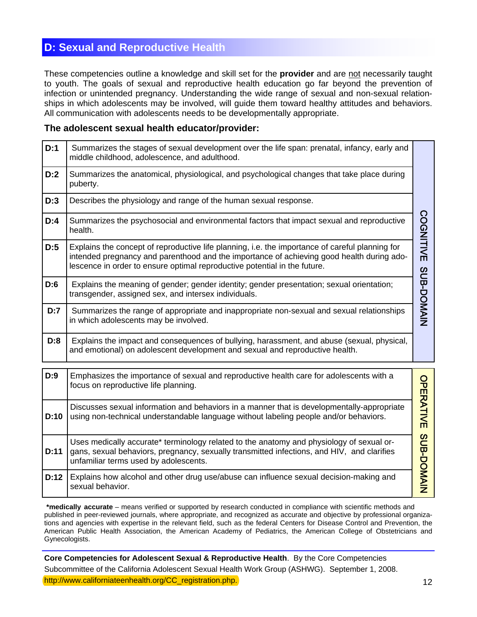## **D: Sexual and Reproductive Health**

These competencies outline a knowledge and skill set for the **provider** and are not necessarily taught to youth. The goals of sexual and reproductive health education go far beyond the prevention of infection or unintended pregnancy. Understanding the wide range of sexual and non-sexual relationships in which adolescents may be involved, will guide them toward healthy attitudes and behaviors. All communication with adolescents needs to be developmentally appropriate.

#### **The adolescent sexual health educator/provider:**

| D:1  | Summarizes the stages of sexual development over the life span: prenatal, infancy, early and<br>middle childhood, adolescence, and adulthood.                                                                                                                             |            |
|------|---------------------------------------------------------------------------------------------------------------------------------------------------------------------------------------------------------------------------------------------------------------------------|------------|
| D:2  | Summarizes the anatomical, physiological, and psychological changes that take place during<br>puberty.                                                                                                                                                                    |            |
| D:3  | Describes the physiology and range of the human sexual response.                                                                                                                                                                                                          |            |
| D:4  | Summarizes the psychosocial and environmental factors that impact sexual and reproductive<br>health.                                                                                                                                                                      | COGNITIVE  |
| D:5  | Explains the concept of reproductive life planning, i.e. the importance of careful planning for<br>intended pregnancy and parenthood and the importance of achieving good health during ado-<br>lescence in order to ensure optimal reproductive potential in the future. |            |
| D:6  | Explains the meaning of gender; gender identity; gender presentation; sexual orientation;<br>transgender, assigned sex, and intersex individuals.                                                                                                                         | SUB-DOMAIN |
| D:7  | Summarizes the range of appropriate and inappropriate non-sexual and sexual relationships<br>in which adolescents may be involved.                                                                                                                                        |            |
| D:8  | Explains the impact and consequences of bullying, harassment, and abuse (sexual, physical,<br>and emotional) on adolescent development and sexual and reproductive health.                                                                                                |            |
| D:9  | Emphasizes the importance of sexual and reproductive health care for adolescents with a<br>focus on reproductive life planning.                                                                                                                                           |            |
| D:10 | Discusses sexual information and behaviors in a manner that is developmentally-appropriate<br>using non-technical understandable language without labeling people and/or behaviors.                                                                                       | OPERATIVE  |
| D:11 | Uses medically accurate* terminology related to the anatomy and physiology of sexual or-<br>gans, sexual behaviors, pregnancy, sexually transmitted infections, and HIV, and clarifies<br>unfamiliar terms used by adolescents.                                           | SUB-DOMAIN |
| D:12 | Explains how alcohol and other drug use/abuse can influence sexual decision-making and<br>sexual behavior.                                                                                                                                                                |            |

**\*medically accurate** – means verified or supported by research conducted in compliance with scientific methods and published in peer-reviewed journals, where appropriate, and recognized as accurate and objective by professional organizations and agencies with expertise in the relevant field, such as the federal Centers for Disease Control and Prevention, the American Public Health Association, the American Academy of Pediatrics, the American College of Obstetricians and Gynecologists.

**Core Competencies for Adolescent Sexual & Reproductive Health**. By the Core Competencies Subcommittee of the California Adolescent Sexual Health Work Group (ASHWG). September 1, 2008. http://www.californiateenhealth.org/CC\_registration.php. 12